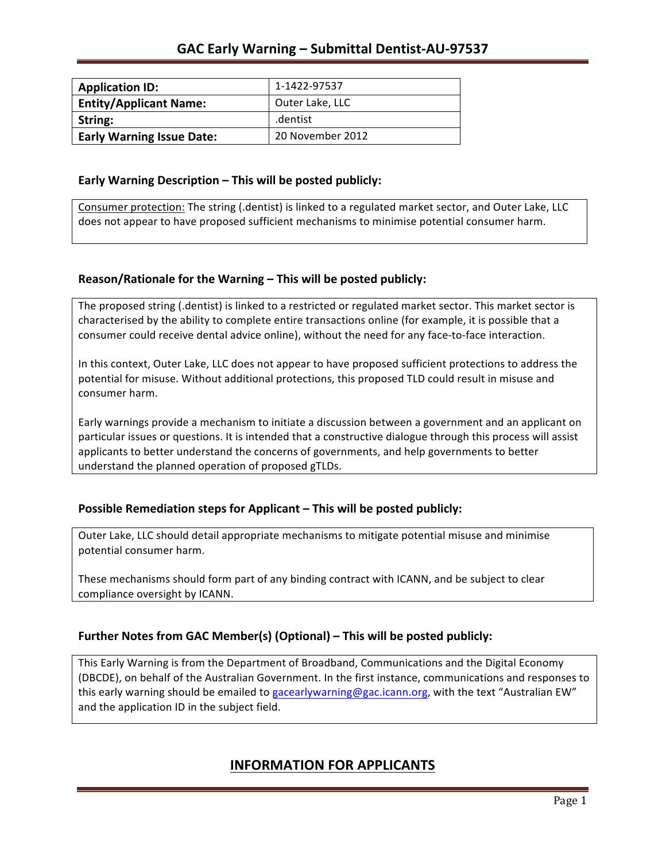| <b>Application ID:</b>           | 1-1422-97537     |
|----------------------------------|------------------|
| <b>Entity/Applicant Name:</b>    | Outer Lake, LLC  |
| String:                          | .dentist         |
| <b>Early Warning Issue Date:</b> | 20 November 2012 |

### **Early Warning Description – This will be posted publicly:**

Consumer protection: The string (.dentist) is linked to a regulated market sector, and Outer Lake, LLC does not appear to have proposed sufficient mechanisms to minimise potential consumer harm.

### **Reason/Rationale for the Warning – This will be posted publicly:**

The proposed string (.dentist) is linked to a restricted or regulated market sector. This market sector is characterised by the ability to complete entire transactions online (for example, it is possible that a consumer could receive dental advice online), without the need for any face-to-face interaction.

In this context, Outer Lake, LLC does not appear to have proposed sufficient protections to address the potential for misuse. Without additional protections, this proposed TLD could result in misuse and consumer harm.

Early warnings provide a mechanism to initiate a discussion between a government and an applicant on particular issues or questions. It is intended that a constructive dialogue through this process will assist applicants to better understand the concerns of governments, and help governments to better understand the planned operation of proposed gTLDs.

### **Possible Remediation steps for Applicant – This will be posted publicly:**

Outer Lake, LLC should detail appropriate mechanisms to mitigate potential misuse and minimise potential consumer harm.

These mechanisms should form part of any binding contract with ICANN, and be subject to clear compliance oversight by ICANN.

### **Further Notes from GAC Member(s) (Optional)** – This will be posted publicly:

This Early Warning is from the Department of Broadband, Communications and the Digital Economy (DBCDE), on behalf of the Australian Government. In the first instance, communications and responses to this early warning should be emailed to gacearlywarning@gac.icann.org, with the text "Australian EW" and the application ID in the subject field.

## **INFORMATION FOR APPLICANTS**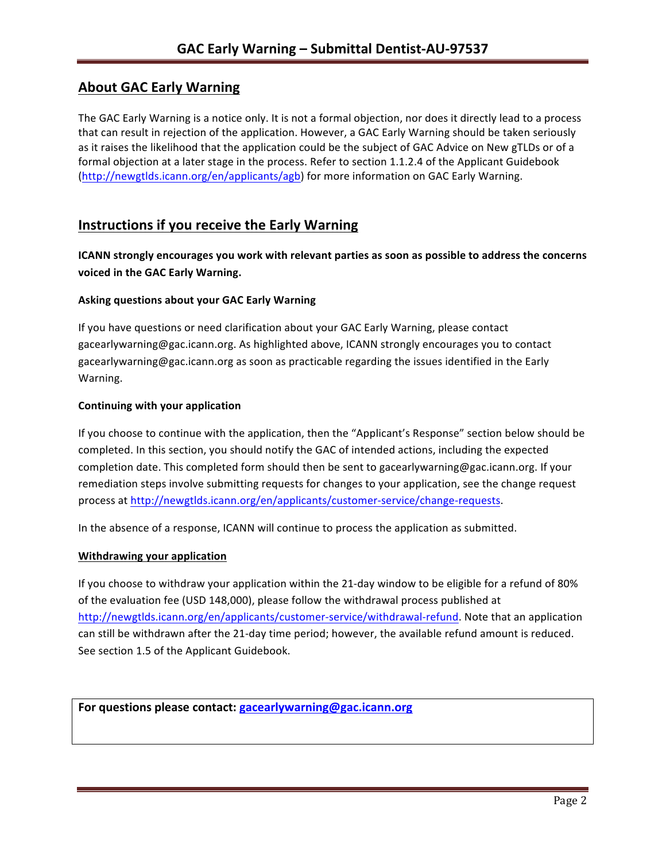# **About GAC Early Warning**

The GAC Early Warning is a notice only. It is not a formal objection, nor does it directly lead to a process that can result in rejection of the application. However, a GAC Early Warning should be taken seriously as it raises the likelihood that the application could be the subject of GAC Advice on New gTLDs or of a formal objection at a later stage in the process. Refer to section 1.1.2.4 of the Applicant Guidebook (http://newgtlds.icann.org/en/applicants/agb) for more information on GAC Early Warning.

## **Instructions if you receive the Early Warning**

**ICANN** strongly encourages you work with relevant parties as soon as possible to address the concerns **voiced in the GAC Early Warning.** 

### **Asking questions about your GAC Early Warning**

If you have questions or need clarification about your GAC Early Warning, please contact gacearlywarning@gac.icann.org. As highlighted above, ICANN strongly encourages you to contact gacearlywarning@gac.icann.org as soon as practicable regarding the issues identified in the Early Warning. 

#### **Continuing with your application**

If you choose to continue with the application, then the "Applicant's Response" section below should be completed. In this section, you should notify the GAC of intended actions, including the expected completion date. This completed form should then be sent to gacearlywarning@gac.icann.org. If your remediation steps involve submitting requests for changes to your application, see the change request process at http://newgtlds.icann.org/en/applicants/customer-service/change-requests.

In the absence of a response, ICANN will continue to process the application as submitted.

#### **Withdrawing your application**

If you choose to withdraw your application within the 21-day window to be eligible for a refund of 80% of the evaluation fee (USD 148,000), please follow the withdrawal process published at http://newgtlds.icann.org/en/applicants/customer-service/withdrawal-refund. Note that an application can still be withdrawn after the 21-day time period; however, the available refund amount is reduced. See section 1.5 of the Applicant Guidebook.

```
For questions please contact: gacearlywarning@gac.icann.org
```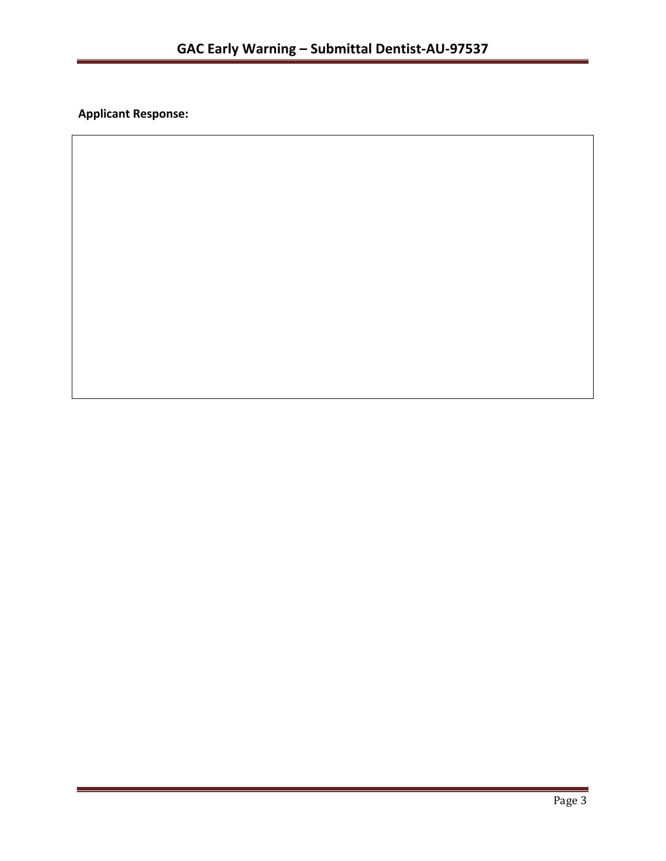**Applicant Response:**